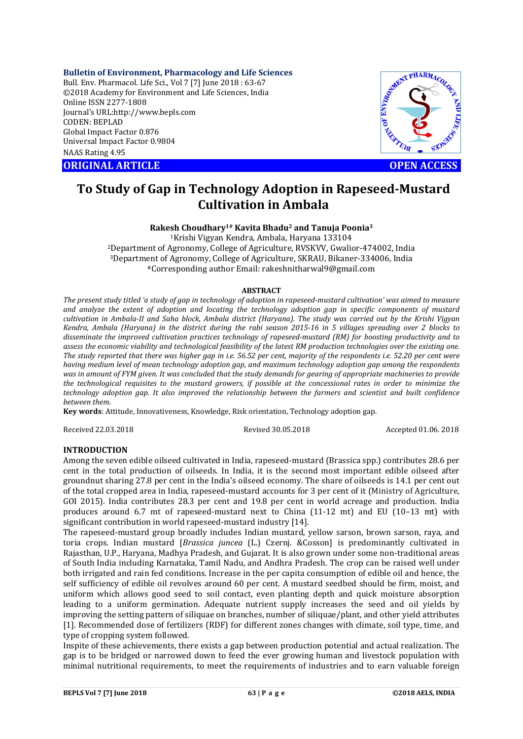**Bulletin of Environment, Pharmacology and Life Sciences**

Bull. Env. Pharmacol. Life Sci., Vol 7 [7] June 2018 : 63-67 ©2018 Academy for Environment and Life Sciences, India Online ISSN 2277-1808 Journal's URL:http://www.bepls.com CODEN: BEPLAD Global Impact Factor 0.876 Universal Impact Factor 0.9804 NAAS Rating 4.95 CONTRACT CONTRACT CONTRACT CONTRACT CONTRACT CONTRACT CONTRACT CONTRACT CONTRACT CONTRACT CONTRACT CONTRACT CONTRACT CONTRACT CONTRACT CONTRACT CONTRACT CONTRACT CONTRACT CONTRACT CONTRACT CONTRACT CONTRACT CONTRACT CONTRA



# **To Study of Gap in Technology Adoption in Rapeseed-Mustard Cultivation in Ambala**

# **Rakesh Choudhary1# Kavita Bhadu2 and Tanuja Poonia3**

1Krishi Vigyan Kendra, Ambala, Haryana 133104 2Department of Agronomy, College of Agriculture, RVSKVV, Gwalior-474002, India 3Department of Agronomy, College of Agriculture, SKRAU, Bikaner-334006, India #Corresponding author Email: rakeshnitharwal9@gmail.com

### **ABSTRACT**

*The present study titled 'a study of gap in technology of adoption in rapeseed-mustard cultivation' was aimed to measure and analyze the extent of adoption and locating the technology adoption gap in specific components of mustard cultivation in Ambala-II and Saha block, Ambala district (Haryana). The study was carried out by the Krishi Vigyan Kendra, Ambala (Haryana) in the district during the rabi season 2015-16 in 5 villages spreading over 2 blocks to disseminate the improved cultivation practices technology of rapeseed-mustard (RM) for boosting productivity and to assess the economic viability and technological feasibility of the latest RM production technologies over the existing one. The study reported that there was higher gap in i.e. 56.52 per cent, majority of the respondents i.e. 52.20 per cent were having medium level of mean technology adoption gap, and maximum technology adoption gap among the respondents was in amount of FYM given. It was concluded that the study demands for gearing of appropriate machineries to provide the technological requisites to the mustard growers, if possible at the concessional rates in order to minimize the technology adoption gap. It also improved the relationship between the farmers and scientist and built confidence between them.*

**Key words**: Attitude, Innovativeness, Knowledge, Risk orientation, Technology adoption gap.

Received 22.03.2018 Revised 30.05.2018 Accepted 01.06. 2018

# **INTRODUCTION**

Among the seven edible oilseed cultivated in India, rapeseed-mustard (Brassica spp.) contributes 28.6 per cent in the total production of oilseeds. In India, it is the second most important edible oilseed after groundnut sharing 27.8 per cent in the India's oilseed economy. The share of oilseeds is 14.1 per cent out of the total cropped area in India, rapeseed-mustard accounts for 3 per cent of it (Ministry of Agriculture, GOI 2015). India contributes 28.3 per cent and 19.8 per cent in world acreage and production. India produces around 6.7 mt of rapeseed-mustard next to China (11-12 mt) and EU (10–13 mt) with significant contribution in world rapeseed-mustard industry [14].

The rapeseed-mustard group broadly includes Indian mustard, yellow sarson, brown sarson, raya, and toria crops. Indian mustard [*Brassica juncea* (L.) Czernj. &Cosson] is predominantly cultivated in Rajasthan, U.P., Haryana, Madhya Pradesh, and Gujarat. It is also grown under some non-traditional areas of South India including Karnataka, Tamil Nadu, and Andhra Pradesh. The crop can be raised well under both irrigated and rain fed conditions. Increase in the per capita consumption of edible oil and hence, the self sufficiency of edible oil revolves around 60 per cent. A mustard seedbed should be firm, moist, and uniform which allows good seed to soil contact, even planting depth and quick moisture absorption leading to a uniform germination. Adequate nutrient supply increases the seed and oil yields by improving the setting pattern of siliquae on branches, number of siliquae/plant, and other yield attributes [1]. Recommended dose of fertilizers (RDF) for different zones changes with climate, soil type, time, and type of cropping system followed.

Inspite of these achievements, there exists a gap between production potential and actual realization. The gap is to be bridged or narrowed down to feed the ever growing human and livestock population with minimal nutritional requirements, to meet the requirements of industries and to earn valuable foreign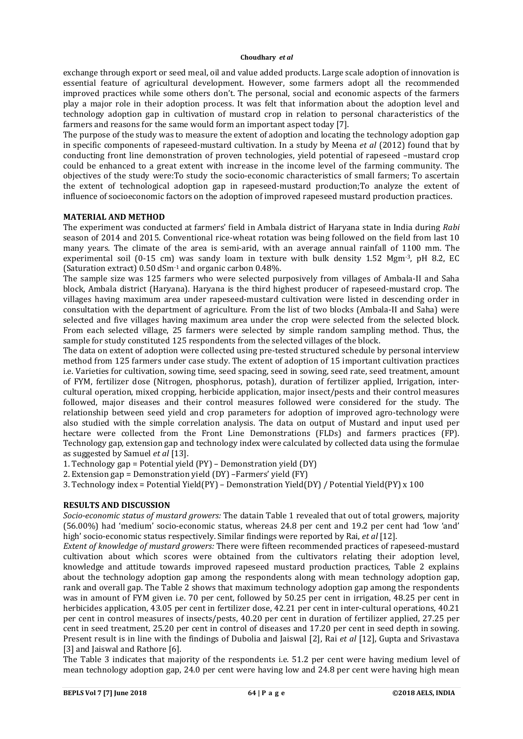exchange through export or seed meal, oil and value added products. Large scale adoption of innovation is essential feature of agricultural development. However, some farmers adopt all the recommended improved practices while some others don't. The personal, social and economic aspects of the farmers play a major role in their adoption process. It was felt that information about the adoption level and technology adoption gap in cultivation of mustard crop in relation to personal characteristics of the farmers and reasons for the same would form an important aspect today [7].

The purpose of the study was to measure the extent of adoption and locating the technology adoption gap in specific components of rapeseed-mustard cultivation. In a study by Meena *et al* (2012) found that by conducting front line demonstration of proven technologies, yield potential of rapeseed –mustard crop could be enhanced to a great extent with increase in the income level of the farming community. The objectives of the study were:To study the socio-economic characteristics of small farmers; To ascertain the extent of technological adoption gap in rapeseed-mustard production;To analyze the extent of influence of socioeconomic factors on the adoption of improved rapeseed mustard production practices.

## **MATERIAL AND METHOD**

The experiment was conducted at farmers' field in Ambala district of Haryana state in India during *Rabi* season of 2014 and 2015. Conventional rice-wheat rotation was being followed on the field from last 10 many years. The climate of the area is semi-arid, with an average annual rainfall of 1100 mm. The experimental soil (0-15 cm) was sandy loam in texture with bulk density 1.52 Mgm<sup>-3</sup>, pH 8.2, EC (Saturation extract) 0.50 dSm-1 and organic carbon 0.48%.

The sample size was 125 farmers who were selected purposively from villages of Ambala-II and Saha block, Ambala district (Haryana). Haryana is the third highest producer of rapeseed-mustard crop. The villages having maximum area under rapeseed-mustard cultivation were listed in descending order in consultation with the department of agriculture. From the list of two blocks (Ambala-II and Saha) were selected and five villages having maximum area under the crop were selected from the selected block. From each selected village, 25 farmers were selected by simple random sampling method. Thus, the sample for study constituted 125 respondents from the selected villages of the block.

The data on extent of adoption were collected using pre-tested structured schedule by personal interview method from 125 farmers under case study. The extent of adoption of 15 important cultivation practices i.e. Varieties for cultivation, sowing time, seed spacing, seed in sowing, seed rate, seed treatment, amount of FYM, fertilizer dose (Nitrogen, phosphorus, potash), duration of fertilizer applied, Irrigation, intercultural operation, mixed cropping, herbicide application, major insect/pests and their control measures followed, major diseases and their control measures followed were considered for the study. The relationship between seed yield and crop parameters for adoption of improved agro-technology were also studied with the simple correlation analysis. The data on output of Mustard and input used per hectare were collected from the Front Line Demonstrations (FLDs) and farmers practices (FP). Technology gap, extension gap and technology index were calculated by collected data using the formulae as suggested by Samuel *et al* [13].

1. Technology gap = Potential yield (PY) – Demonstration yield (DY)

2. Extension gap = Demonstration yield (DY) –Farmers' yield (FY)

3. Technology index = Potential Yield(PY) – Demonstration Yield(DY) / Potential Yield(PY) x 100

## **RESULTS AND DISCUSSION**

*Socio-economic status of mustard growers:* The datain Table 1 revealed that out of total growers, majority (56.00%) had 'medium' socio-economic status, whereas 24.8 per cent and 19.2 per cent had 'low 'and' high' socio-economic status respectively. Similar findings were reported by Rai, *et al* [12].

*Extent of knowledge of mustard growers:* There were fifteen recommended practices of rapeseed-mustard cultivation about which scores were obtained from the cultivators relating their adoption level, knowledge and attitude towards improved rapeseed mustard production practices, Table 2 explains about the technology adoption gap among the respondents along with mean technology adoption gap, rank and overall gap. The Table 2 shows that maximum technology adoption gap among the respondents was in amount of FYM given i.e. 70 per cent, followed by 50.25 per cent in irrigation, 48.25 per cent in herbicides application, 43.05 per cent in fertilizer dose, 42.21 per cent in inter-cultural operations, 40.21 per cent in control measures of insects/pests, 40.20 per cent in duration of fertilizer applied, 27.25 per cent in seed treatment, 25.20 per cent in control of diseases and 17.20 per cent in seed depth in sowing. Present result is in line with the findings of Dubolia and Jaiswal [2], Rai *et al* [12], Gupta and Srivastava [3] and Jaiswal and Rathore [6].

The Table 3 indicates that majority of the respondents i.e. 51.2 per cent were having medium level of mean technology adoption gap, 24.0 per cent were having low and 24.8 per cent were having high mean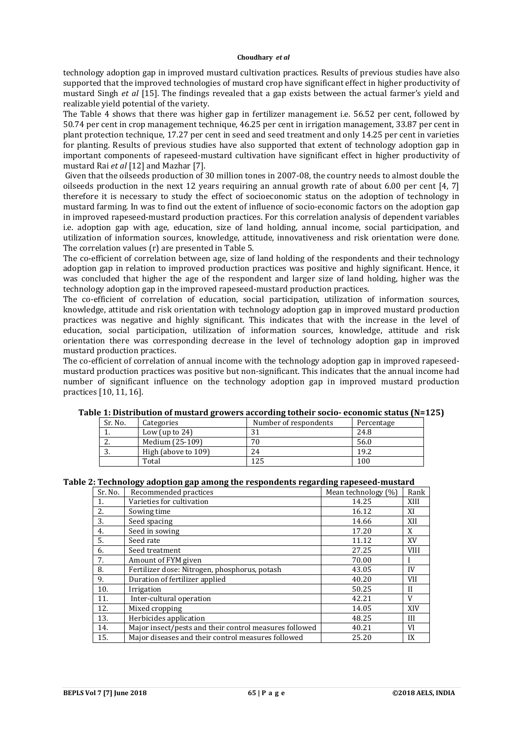technology adoption gap in improved mustard cultivation practices. Results of previous studies have also supported that the improved technologies of mustard crop have significant effect in higher productivity of mustard Singh *et al* [15]. The findings revealed that a gap exists between the actual farmer's yield and realizable yield potential of the variety.

The Table 4 shows that there was higher gap in fertilizer management i.e. 56.52 per cent, followed by 50.74 per cent in crop management technique, 46.25 per cent in irrigation management, 33.87 per cent in plant protection technique, 17.27 per cent in seed and seed treatment and only 14.25 per cent in varieties for planting. Results of previous studies have also supported that extent of technology adoption gap in important components of rapeseed-mustard cultivation have significant effect in higher productivity of mustard Rai *et al* [12] and Mazhar [7].

Given that the oilseeds production of 30 million tones in 2007-08, the country needs to almost double the oilseeds production in the next 12 years requiring an annual growth rate of about 6.00 per cent [4, 7] therefore it is necessary to study the effect of socioeconomic status on the adoption of technology in mustard farming. In was to find out the extent of influence of socio-economic factors on the adoption gap in improved rapeseed-mustard production practices. For this correlation analysis of dependent variables i.e. adoption gap with age, education, size of land holding, annual income, social participation, and utilization of information sources, knowledge, attitude, innovativeness and risk orientation were done. The correlation values (r) are presented in Table 5.

The co-efficient of correlation between age, size of land holding of the respondents and their technology adoption gap in relation to improved production practices was positive and highly significant. Hence, it was concluded that higher the age of the respondent and larger size of land holding, higher was the technology adoption gap in the improved rapeseed-mustard production practices.

The co-efficient of correlation of education, social participation, utilization of information sources, knowledge, attitude and risk orientation with technology adoption gap in improved mustard production practices was negative and highly significant. This indicates that with the increase in the level of education, social participation, utilization of information sources, knowledge, attitude and risk orientation there was corresponding decrease in the level of technology adoption gap in improved mustard production practices.

The co-efficient of correlation of annual income with the technology adoption gap in improved rapeseedmustard production practices was positive but non-significant. This indicates that the annual income had number of significant influence on the technology adoption gap in improved mustard production practices [10, 11, 16].

| ic 1. Distribution of musulu growers accorumg tothen socio-economic status pr |                     |                       |            |
|-------------------------------------------------------------------------------|---------------------|-----------------------|------------|
| Sr. No.                                                                       | Categories          | Number of respondents | Percentage |
|                                                                               | Low (up to $24$ )   | 31                    | 24.8       |
| <u>.</u>                                                                      | Medium (25-109)     | 70                    | 56.0       |
| ົ<br>J.                                                                       | High (above to 109) | 24                    | 19.2       |
|                                                                               | Total               | 125                   | 100        |

**Table 1: Distribution of mustard growers according totheir socio- economic status (N=125)**

#### **Table 2: Technology adoption gap among the respondents regarding rapeseed-mustard**

| Sr. No. | Recommended practices                                  | Mean technology (%) | Rank        |
|---------|--------------------------------------------------------|---------------------|-------------|
| 1.      | Varieties for cultivation                              | 14.25               | XIII        |
| 2.      | Sowing time                                            | 16.12               | XI          |
| 3.      | Seed spacing                                           | 14.66               | XII         |
| 4.      | Seed in sowing                                         | 17.20               | X           |
| 5.      | Seed rate                                              | 11.12               | XV          |
| 6.      | Seed treatment                                         | 27.25               | <b>VIII</b> |
| 7.      | Amount of FYM given                                    | 70.00               |             |
| 8.      | Fertilizer dose: Nitrogen, phosphorus, potash          | 43.05               | IV          |
| 9.      | Duration of fertilizer applied                         | 40.20               | <b>VII</b>  |
| 10.     | Irrigation                                             | 50.25               | $_{\rm II}$ |
| 11.     | Inter-cultural operation                               | 42.21               | V           |
| 12.     | Mixed cropping                                         | 14.05               | XIV         |
| 13.     | Herbicides application                                 | 48.25               | III         |
| 14.     | Major insect/pests and their control measures followed | 40.21               | VI          |
| 15.     | Major diseases and their control measures followed     | 25.20               | IX          |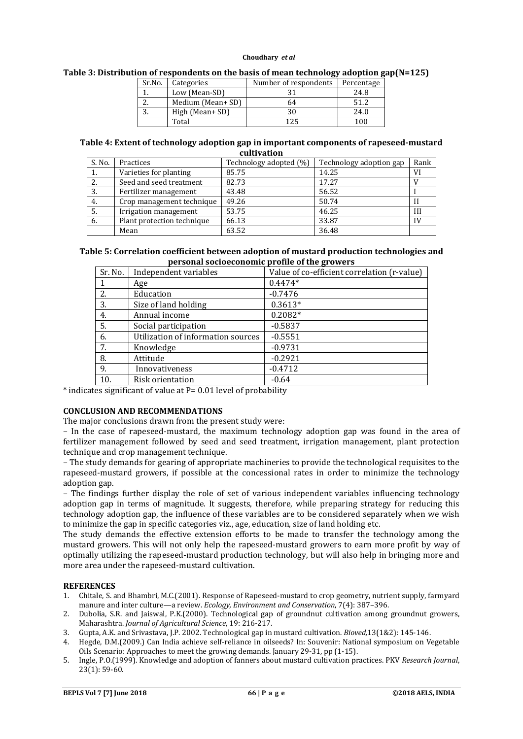| Sr.No. | Categories       | Number of respondents | Percentage |
|--------|------------------|-----------------------|------------|
|        | Low (Mean-SD)    |                       | 24.8       |
| ۷.     | Medium (Mean+SD) | 64                    | 51.2       |
| J.     | High (Mean+ SD)  | 30                    | 24.0       |
|        | Total            | 1 2 5                 | 100        |

## **Table 3: Distribution of respondents on the basis of mean technology adoption gap(N=125)**

**Table 4: Extent of technology adoption gap in important components of rapeseed-mustard cultivation**

| S. No. | Practices                  | Technology adopted (%) | Technology adoption gap | Rank |
|--------|----------------------------|------------------------|-------------------------|------|
| ı.     | Varieties for planting     | 85.75                  | 14.25                   | VI   |
| 2.     | Seed and seed treatment    | 82.73                  | 17.27                   |      |
| 3.     | Fertilizer management      | 43.48                  | 56.52                   |      |
| 4.     | Crop management technique  | 49.26                  | 50.74                   | Н    |
| 5.     | Irrigation management      | 53.75                  | 46.25                   | III  |
| 6.     | Plant protection technique | 66.13                  | 33.87                   | IV   |
|        | Mean                       | 63.52                  | 36.48                   |      |

## **Table 5: Correlation coefficient between adoption of mustard production technologies and personal socioeconomic profile of the growers**

| Sr. No. | Independent variables              | Value of co-efficient correlation (r-value) |
|---------|------------------------------------|---------------------------------------------|
| 1       | Age                                | $0.4474*$                                   |
| 2.      | Education                          | $-0.7476$                                   |
| 3.      | Size of land holding               | $0.3613*$                                   |
| 4.      | Annual income                      | $0.2082*$                                   |
| 5.      | Social participation               | $-0.5837$                                   |
| 6.      | Utilization of information sources | $-0.5551$                                   |
| 7.      | Knowledge                          | $-0.9731$                                   |
| 8.      | Attitude                           | $-0.2921$                                   |
| 9.      | Innovativeness                     | $-0.4712$                                   |
| 10.     | Risk orientation                   | $-0.64$                                     |

\* indicates significant of value at P= 0.01 level of probability

## **CONCLUSION AND RECOMMENDATIONS**

The major conclusions drawn from the present study were:

– In the case of rapeseed-mustard, the maximum technology adoption gap was found in the area of fertilizer management followed by seed and seed treatment, irrigation management, plant protection technique and crop management technique.

– The study demands for gearing of appropriate machineries to provide the technological requisites to the rapeseed-mustard growers, if possible at the concessional rates in order to minimize the technology adoption gap.

– The findings further display the role of set of various independent variables influencing technology adoption gap in terms of magnitude. It suggests, therefore, while preparing strategy for reducing this technology adoption gap, the influence of these variables are to be considered separately when we wish to minimize the gap in specific categories viz., age, education, size of land holding etc.

The study demands the effective extension efforts to be made to transfer the technology among the mustard growers. This will not only help the rapeseed-mustard growers to earn more profit by way of optimally utilizing the rapeseed-mustard production technology, but will also help in bringing more and more area under the rapeseed-mustard cultivation.

## **REFERENCES**

- 1. Chitale, S. and Bhambri, M.C.(2001). Response of Rapeseed-mustard to crop geometry, nutrient supply, farmyard manure and inter culture—a review. *Ecology, Environment and Conservation*, 7(4): 387–396.
- 2. Dubolia, S.R. and Jaiswal, P.K.(2000). Technological gap of groundnut cultivation among groundnut growers, Maharashtra. *Journal of Agricultural Science*, 19: 216-217.
- 3. Gupta, A.K. and Srivastava, J.P. 2002. Technological gap in mustard cultivation. *Bioved,*13(1&2): 145-146.
- 4. Hegde, D.M.(2009.) Can India achieve self-reliance in oilseeds? In: Souvenir: National symposium on Vegetable Oils Scenario: Approaches to meet the growing demands. January 29-31, pp (1-15).
- 5. Ingle, P.O.(1999). Knowledge and adoption of fanners about mustard cultivation practices. PKV *Research Journal*, 23(1): 59-60.